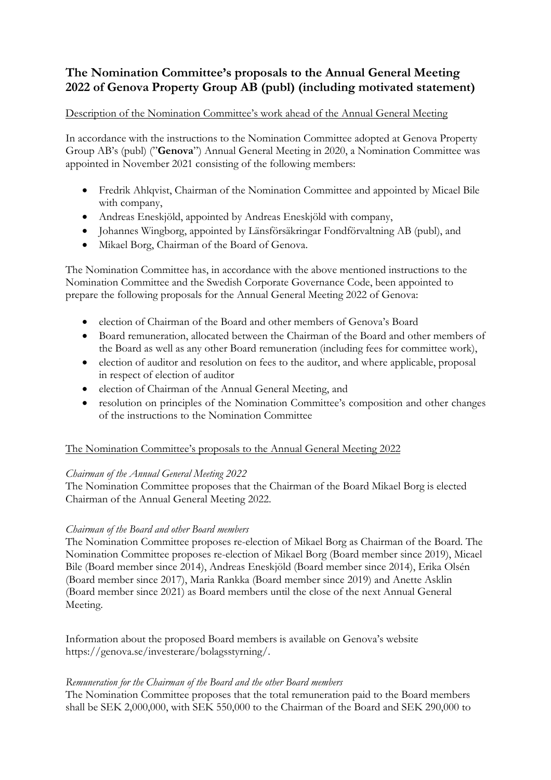# **The Nomination Committee's proposals to the Annual General Meeting 2022 of Genova Property Group AB (publ) (including motivated statement)**

## Description of the Nomination Committee's work ahead of the Annual General Meeting

In accordance with the instructions to the Nomination Committee adopted at Genova Property Group AB's (publ) ("**Genova**") Annual General Meeting in 2020, a Nomination Committee was appointed in November 2021 consisting of the following members:

- Fredrik Ahlqvist, Chairman of the Nomination Committee and appointed by Micael Bile with company,
- Andreas Eneskjöld, appointed by Andreas Eneskjöld with company,
- Johannes Wingborg, appointed by Länsförsäkringar Fondförvaltning AB (publ), and
- Mikael Borg, Chairman of the Board of Genova.

The Nomination Committee has, in accordance with the above mentioned instructions to the Nomination Committee and the Swedish Corporate Governance Code, been appointed to prepare the following proposals for the Annual General Meeting 2022 of Genova:

- election of Chairman of the Board and other members of Genova's Board
- Board remuneration, allocated between the Chairman of the Board and other members of the Board as well as any other Board remuneration (including fees for committee work),
- election of auditor and resolution on fees to the auditor, and where applicable, proposal in respect of election of auditor
- election of Chairman of the Annual General Meeting, and
- resolution on principles of the Nomination Committee's composition and other changes of the instructions to the Nomination Committee

## The Nomination Committee's proposals to the Annual General Meeting 2022

### *Chairman of the Annual General Meeting 2022*

The Nomination Committee proposes that the Chairman of the Board Mikael Borg is elected Chairman of the Annual General Meeting 2022.

## *Chairman of the Board and other Board members*

The Nomination Committee proposes re-election of Mikael Borg as Chairman of the Board. The Nomination Committee proposes re-election of Mikael Borg (Board member since 2019), Micael Bile (Board member since 2014), Andreas Eneskjöld (Board member since 2014), Erika Olsén (Board member since 2017), Maria Rankka (Board member since 2019) and Anette Asklin (Board member since 2021) as Board members until the close of the next Annual General Meeting.

Information about the proposed Board members is available on Genova's website https://genova.se/investerare/bolagsstyrning/.

## *Remuneration for the Chairman of the Board and the other Board members*

The Nomination Committee proposes that the total remuneration paid to the Board members shall be SEK 2,000,000, with SEK 550,000 to the Chairman of the Board and SEK 290,000 to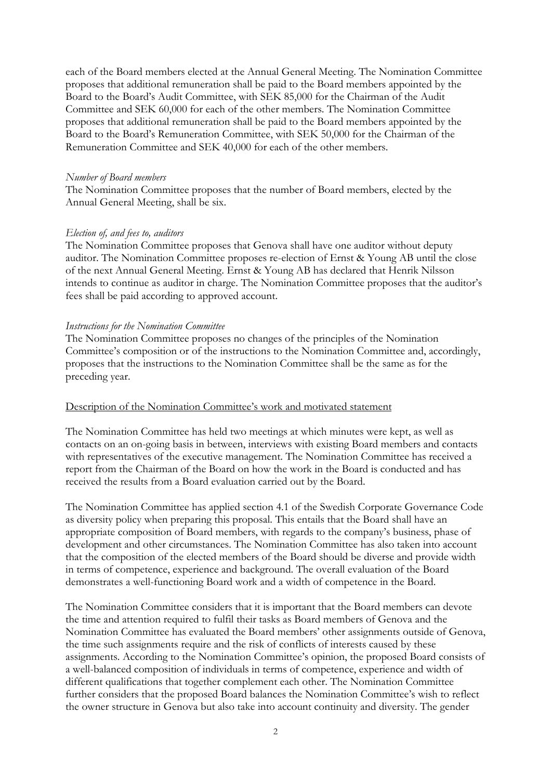each of the Board members elected at the Annual General Meeting. The Nomination Committee proposes that additional remuneration shall be paid to the Board members appointed by the Board to the Board's Audit Committee, with SEK 85,000 for the Chairman of the Audit Committee and SEK 60,000 for each of the other members. The Nomination Committee proposes that additional remuneration shall be paid to the Board members appointed by the Board to the Board's Remuneration Committee, with SEK 50,000 for the Chairman of the Remuneration Committee and SEK 40,000 for each of the other members.

#### *Number of Board members*

The Nomination Committee proposes that the number of Board members, elected by the Annual General Meeting, shall be six.

#### *Election of, and fees to, auditors*

The Nomination Committee proposes that Genova shall have one auditor without deputy auditor. The Nomination Committee proposes re-election of Ernst & Young AB until the close of the next Annual General Meeting. Ernst & Young AB has declared that Henrik Nilsson intends to continue as auditor in charge. The Nomination Committee proposes that the auditor's fees shall be paid according to approved account.

#### *Instructions for the Nomination Committee*

The Nomination Committee proposes no changes of the principles of the Nomination Committee's composition or of the instructions to the Nomination Committee and, accordingly, proposes that the instructions to the Nomination Committee shall be the same as for the preceding year.

#### Description of the Nomination Committee's work and motivated statement

The Nomination Committee has held two meetings at which minutes were kept, as well as contacts on an on-going basis in between, interviews with existing Board members and contacts with representatives of the executive management. The Nomination Committee has received a report from the Chairman of the Board on how the work in the Board is conducted and has received the results from a Board evaluation carried out by the Board.

The Nomination Committee has applied section 4.1 of the Swedish Corporate Governance Code as diversity policy when preparing this proposal. This entails that the Board shall have an appropriate composition of Board members, with regards to the company's business, phase of development and other circumstances. The Nomination Committee has also taken into account that the composition of the elected members of the Board should be diverse and provide width in terms of competence, experience and background. The overall evaluation of the Board demonstrates a well-functioning Board work and a width of competence in the Board.

The Nomination Committee considers that it is important that the Board members can devote the time and attention required to fulfil their tasks as Board members of Genova and the Nomination Committee has evaluated the Board members' other assignments outside of Genova, the time such assignments require and the risk of conflicts of interests caused by these assignments. According to the Nomination Committee's opinion, the proposed Board consists of a well-balanced composition of individuals in terms of competence, experience and width of different qualifications that together complement each other. The Nomination Committee further considers that the proposed Board balances the Nomination Committee's wish to reflect the owner structure in Genova but also take into account continuity and diversity. The gender